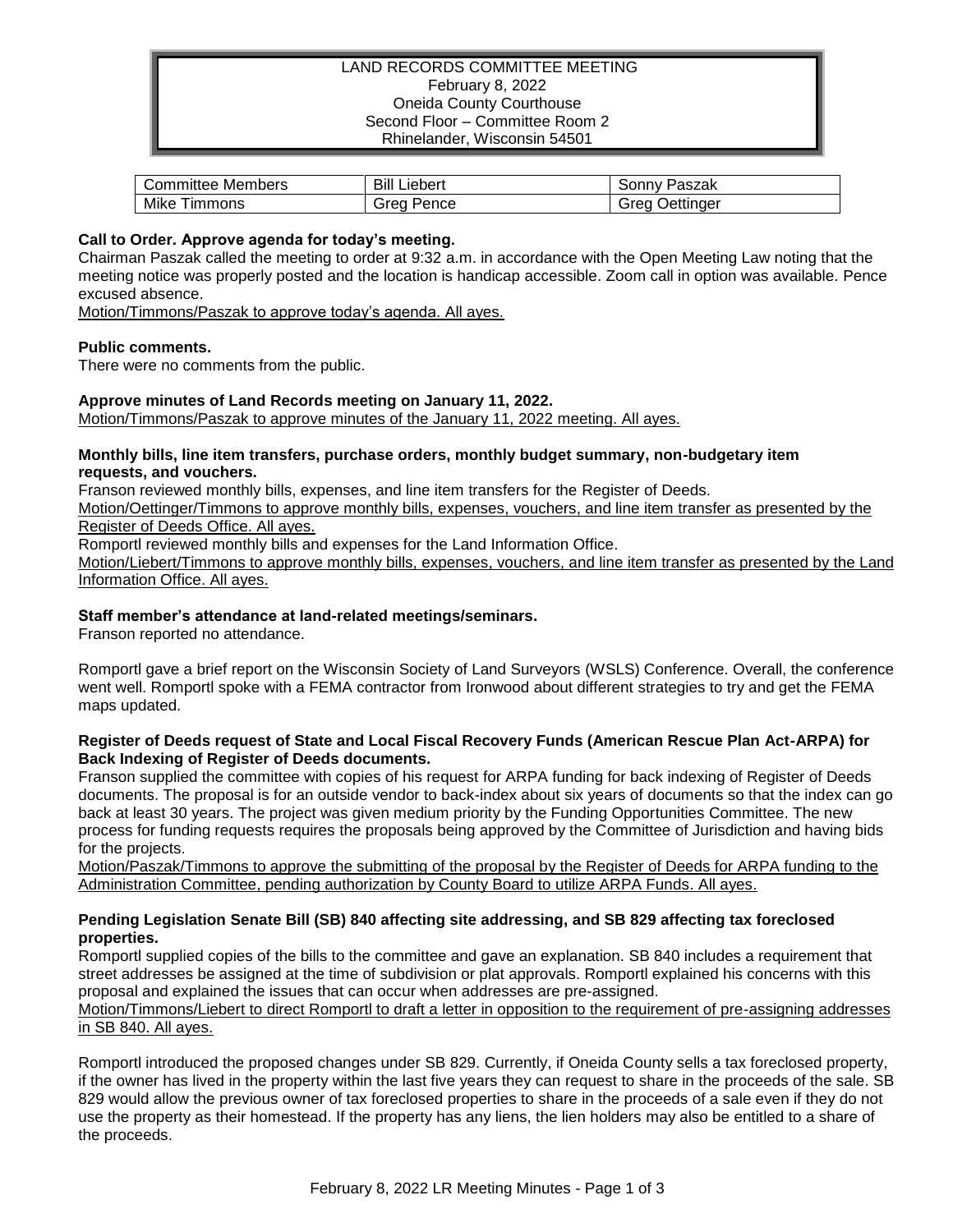# LAND RECORDS COMMITTEE MEETING February 8, 2022 Oneida County Courthouse Second Floor – Committee Room 2 Rhinelander, Wisconsin 54501

| Members           | Bill    | Paszak    |
|-------------------|---------|-----------|
| Committee '       | Liebert | Sonnv     |
| Mike <sup>1</sup> | Grea    | Oettinger |
| Timmons           | Pence   | Greal     |

## **Call to Order. Approve agenda for today's meeting.**

Chairman Paszak called the meeting to order at 9:32 a.m. in accordance with the Open Meeting Law noting that the meeting notice was properly posted and the location is handicap accessible. Zoom call in option was available. Pence excused absence.

Motion/Timmons/Paszak to approve today's agenda. All ayes.

## **Public comments.**

There were no comments from the public.

## **Approve minutes of Land Records meeting on January 11, 2022.**

Motion/Timmons/Paszak to approve minutes of the January 11, 2022 meeting. All ayes.

### **Monthly bills, line item transfers, purchase orders, monthly budget summary, non-budgetary item requests, and vouchers.**

Franson reviewed monthly bills, expenses, and line item transfers for the Register of Deeds.

Motion/Oettinger/Timmons to approve monthly bills, expenses, vouchers, and line item transfer as presented by the Register of Deeds Office. All ayes.

Romportl reviewed monthly bills and expenses for the Land Information Office.

Motion/Liebert/Timmons to approve monthly bills, expenses, vouchers, and line item transfer as presented by the Land Information Office. All ayes.

# **Staff member's attendance at land-related meetings/seminars.**

Franson reported no attendance.

Romportl gave a brief report on the Wisconsin Society of Land Surveyors (WSLS) Conference. Overall, the conference went well. Romportl spoke with a FEMA contractor from Ironwood about different strategies to try and get the FEMA maps updated.

## **Register of Deeds request of State and Local Fiscal Recovery Funds (American Rescue Plan Act-ARPA) for Back Indexing of Register of Deeds documents.**

Franson supplied the committee with copies of his request for ARPA funding for back indexing of Register of Deeds documents. The proposal is for an outside vendor to back-index about six years of documents so that the index can go back at least 30 years. The project was given medium priority by the Funding Opportunities Committee. The new process for funding requests requires the proposals being approved by the Committee of Jurisdiction and having bids for the projects.

Motion/Paszak/Timmons to approve the submitting of the proposal by the Register of Deeds for ARPA funding to the Administration Committee, pending authorization by County Board to utilize ARPA Funds. All ayes.

# **Pending Legislation Senate Bill (SB) 840 affecting site addressing, and SB 829 affecting tax foreclosed properties.**

Romportl supplied copies of the bills to the committee and gave an explanation. SB 840 includes a requirement that street addresses be assigned at the time of subdivision or plat approvals. Romportl explained his concerns with this proposal and explained the issues that can occur when addresses are pre-assigned.

Motion/Timmons/Liebert to direct Romportl to draft a letter in opposition to the requirement of pre-assigning addresses in SB 840. All ayes.

Romportl introduced the proposed changes under SB 829. Currently, if Oneida County sells a tax foreclosed property, if the owner has lived in the property within the last five years they can request to share in the proceeds of the sale. SB 829 would allow the previous owner of tax foreclosed properties to share in the proceeds of a sale even if they do not use the property as their homestead. If the property has any liens, the lien holders may also be entitled to a share of the proceeds.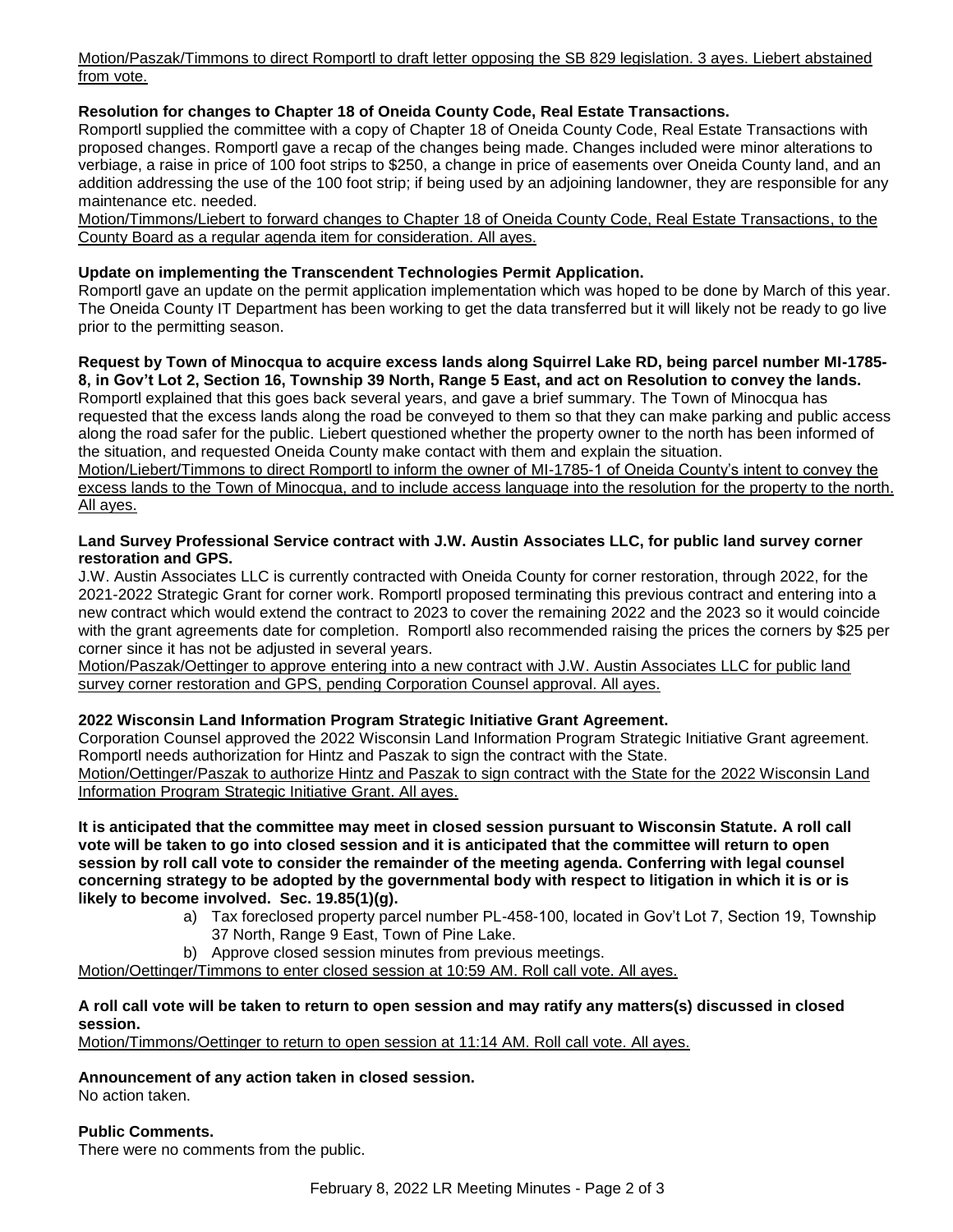Motion/Paszak/Timmons to direct Romportl to draft letter opposing the SB 829 legislation. 3 ayes. Liebert abstained from vote.

# **Resolution for changes to Chapter 18 of Oneida County Code, Real Estate Transactions.**

Romportl supplied the committee with a copy of Chapter 18 of Oneida County Code, Real Estate Transactions with proposed changes. Romportl gave a recap of the changes being made. Changes included were minor alterations to verbiage, a raise in price of 100 foot strips to \$250, a change in price of easements over Oneida County land, and an addition addressing the use of the 100 foot strip; if being used by an adjoining landowner, they are responsible for any maintenance etc. needed.

Motion/Timmons/Liebert to forward changes to Chapter 18 of Oneida County Code, Real Estate Transactions, to the County Board as a regular agenda item for consideration. All ayes.

# **Update on implementing the Transcendent Technologies Permit Application.**

Romportl gave an update on the permit application implementation which was hoped to be done by March of this year. The Oneida County IT Department has been working to get the data transferred but it will likely not be ready to go live prior to the permitting season.

# **Request by Town of Minocqua to acquire excess lands along Squirrel Lake RD, being parcel number MI-1785- 8, in Gov't Lot 2, Section 16, Township 39 North, Range 5 East, and act on Resolution to convey the lands.**

Romportl explained that this goes back several years, and gave a brief summary. The Town of Minocqua has requested that the excess lands along the road be conveyed to them so that they can make parking and public access along the road safer for the public. Liebert questioned whether the property owner to the north has been informed of the situation, and requested Oneida County make contact with them and explain the situation.

Motion/Liebert/Timmons to direct Romportl to inform the owner of MI-1785-1 of Oneida County's intent to convey the excess lands to the Town of Minocqua, and to include access language into the resolution for the property to the north. All ayes.

## **Land Survey Professional Service contract with J.W. Austin Associates LLC, for public land survey corner restoration and GPS.**

J.W. Austin Associates LLC is currently contracted with Oneida County for corner restoration, through 2022, for the 2021-2022 Strategic Grant for corner work. Romportl proposed terminating this previous contract and entering into a new contract which would extend the contract to 2023 to cover the remaining 2022 and the 2023 so it would coincide with the grant agreements date for completion. Romportl also recommended raising the prices the corners by \$25 per corner since it has not be adjusted in several years.

Motion/Paszak/Oettinger to approve entering into a new contract with J.W. Austin Associates LLC for public land survey corner restoration and GPS, pending Corporation Counsel approval. All ayes.

# **2022 Wisconsin Land Information Program Strategic Initiative Grant Agreement.**

Corporation Counsel approved the 2022 Wisconsin Land Information Program Strategic Initiative Grant agreement. Romportl needs authorization for Hintz and Paszak to sign the contract with the State. Motion/Oettinger/Paszak to authorize Hintz and Paszak to sign contract with the State for the 2022 Wisconsin Land Information Program Strategic Initiative Grant. All ayes.

## **It is anticipated that the committee may meet in closed session pursuant to Wisconsin Statute. A roll call vote will be taken to go into closed session and it is anticipated that the committee will return to open session by roll call vote to consider the remainder of the meeting agenda. Conferring with legal counsel concerning strategy to be adopted by the governmental body with respect to litigation in which it is or is likely to become involved. Sec. 19.85(1)(g).**

- a) Tax foreclosed property parcel number PL-458-100, located in Gov't Lot 7, Section 19, Township
	- 37 North, Range 9 East, Town of Pine Lake.
- b) Approve closed session minutes from previous meetings.

Motion/Oettinger/Timmons to enter closed session at 10:59 AM. Roll call vote. All ayes.

## **A roll call vote will be taken to return to open session and may ratify any matters(s) discussed in closed session.**

Motion/Timmons/Oettinger to return to open session at 11:14 AM. Roll call vote. All ayes.

# **Announcement of any action taken in closed session.**

No action taken.

## **Public Comments.**

There were no comments from the public.